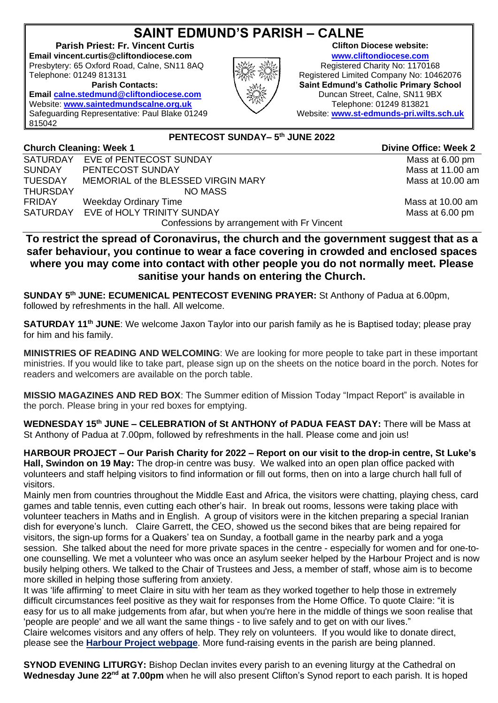# **SAINT EDMUND'S PARISH – CALNE**

**Parish Priest: Fr. Vincent Curtis Email vincent.curtis@cliftondiocese.com [www.cliftondiocese.com](http://www.cliftondiocese.com/)** Presbytery: 65 Oxford Road, Calne, SN11 8AQ  $\left|\frac{1}{2}\right|$  Registered Charity No: 1170168 Telephone: 01249 813131 **Registered Limited Company No: 10462076** 

**Parish Contacts: Saint Edmund's Catholic Primary School** 

**Email [calne.stedmund@cliftondiocese.com](mailto:calne.stedmund@cliftondiocese.com) \ SQE / Duncan Street, Calne, SN11 9BX** Website: **[www.saintedmundscalne.org.uk](http://www.saintedmundscalne.org.uk/) Netwister School Telephone: 01249 813821** Safeguarding Representative: Paul Blake 01249 815042

# **PENTECOST SUNDAY– 5 th JUNE 2022**

### **Church Cleaning: Week 1 Divine Office: Week 2** SATURDAY EVE of PENTECOST SUNDAY EXAMPLE AND SATURDAY Mass at 6.00 pm SUNDAY PENTECOST SUNDAY Mass at 11.00 am TUESDAY MEMORIAL of the BLESSED VIRGIN MARY MARY Mass at 10.00 am THURSDAY NO MASS FRIDAY Weekday Ordinary Time **Mass at 10.00 am** Mass at 10.00 am SATURDAY EVE of HOLY TRINITY SUNDAY MASS AT UNITY ASSESSMENT ASSESSMENT ASSESSMENT ASSESSMENT AND MASS AT 6.00 pm Confessions by arrangement with Fr Vincent

## **To restrict the spread of Coronavirus, the church and the government suggest that as a safer behaviour, you continue to wear a face covering in crowded and enclosed spaces where you may come into contact with other people you do not normally meet. Please sanitise your hands on entering the Church.**

**SUNDAY 5 th JUNE: ECUMENICAL PENTECOST EVENING PRAYER:** St Anthony of Padua at 6.00pm, followed by refreshments in the hall. All welcome.

**SATURDAY 11th JUNE**: We welcome Jaxon Taylor into our parish family as he is Baptised today; please pray for him and his family.

**MINISTRIES OF READING AND WELCOMING**: We are looking for more people to take part in these important ministries. If you would like to take part, please sign up on the sheets on the notice board in the porch. Notes for readers and welcomers are available on the porch table.

**MISSIO MAGAZINES AND RED BOX**: The Summer edition of Mission Today "Impact Report" is available in the porch. Please bring in your red boxes for emptying.

**WEDNESDAY 15th JUNE – CELEBRATION of St ANTHONY of PADUA FEAST DAY:** There will be Mass at St Anthony of Padua at 7.00pm, followed by refreshments in the hall. Please come and join us!

HARBOUR PROJECT - Our Parish Charity for 2022 - Report on our visit to the drop-in centre, St Luke's **Hall, Swindon on 19 May:** The drop-in centre was busy. We walked into an open plan office packed with volunteers and staff helping visitors to find information or fill out forms, then on into a large church hall full of visitors.

Mainly men from countries throughout the Middle East and Africa, the visitors were chatting, playing chess, card games and table tennis, even cutting each other's hair. In break out rooms, lessons were taking place with volunteer teachers in Maths and in English. A group of visitors were in the kitchen preparing a special Iranian dish for everyone's lunch. Claire Garrett, the CEO, showed us the second bikes that are being repaired for visitors, the sign-up forms for a Quakers' tea on Sunday, a football game in the nearby park and a yoga session. She talked about the need for more private spaces in the centre - especially for women and for one-toone counselling. We met a volunteer who was once an asylum seeker helped by the Harbour Project and is now busily helping others. We talked to the Chair of Trustees and Jess, a member of staff, whose aim is to become more skilled in helping those suffering from anxiety.

It was 'life affirming' to meet Claire in situ with her team as they worked together to help those in extremely difficult circumstances feel positive as they wait for responses from the Home Office. To quote Claire: "it is easy for us to all make judgements from afar, but when you're here in the middle of things we soon realise that 'people are people' and we all want the same things - to live safely and to get on with our lives." Claire welcomes visitors and any offers of help. They rely on volunteers. If you would like to donate direct, please see the **Harbour Project [webpage](https://eur02.safelinks.protection.outlook.com/?url=https%3A%2F%2Fharbourproject.org.uk%2F&data=05%7C01%7Ccalne.stedmund%40cliftondiocese.com%7C9fabfcc4708b434a19bc08da422a1f88%7Cf10b8f13604e4fa29e1204a7fad22e94%7C0%7C0%7C637895045927161607%7CUnknown%7CTWFpbGZsb3d8eyJWIjoiMC4wLjAwMDAiLCJQIjoiV2luMzIiLCJBTiI6Ik1haWwiLCJXVCI6Mn0%3D%7C3000%7C%7C%7C&sdata=deNLZHwLZ5mSn4fehdJdQo3I7bVqoR04yLa7o6orrxw%3D&reserved=0)**. More fund-raising events in the parish are being planned.

**SYNOD EVENING LITURGY:** Bishop Declan invites every parish to an evening liturgy at the Cathedral on **Wednesday June 22nd at 7.00pm** when he will also present Clifton's Synod report to each parish. It is hoped



Website: **[www.st-edmunds-pri.wilts.sch.uk](http://www.st-edmunds-pri.wilts.sch.uk/)**